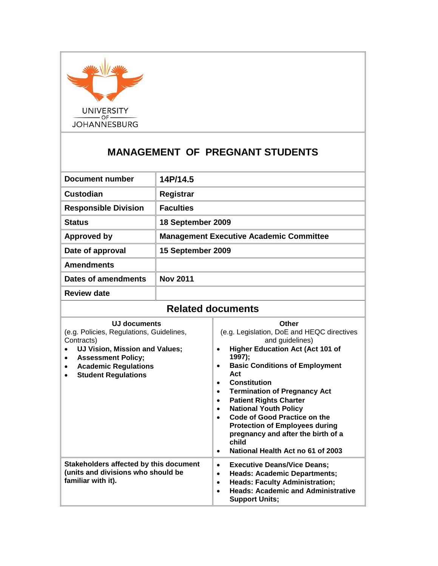

## **MANAGEMENT OF PREGNANT STUDENTS**

| <b>Document number</b>      | 14P/14.5                                       |
|-----------------------------|------------------------------------------------|
| Custodian                   | Registrar                                      |
| <b>Responsible Division</b> | <b>Faculties</b>                               |
| <b>Status</b>               | 18 September 2009                              |
| <b>Approved by</b>          | <b>Management Executive Academic Committee</b> |
| Date of approval            | 15 September 2009                              |
| <b>Amendments</b>           |                                                |
| <b>Dates of amendments</b>  | <b>Nov 2011</b>                                |
| <b>Review date</b>          |                                                |

## **Related documents**

| UJ documents<br>(e.g. Policies, Regulations, Guidelines,<br>Contracts)<br><b>UJ Vision, Mission and Values;</b><br><b>Assessment Policy;</b><br><b>Academic Regulations</b><br><b>Student Regulations</b> | Other<br>(e.g. Legislation, DoE and HEQC directives<br>and guidelines)<br><b>Higher Education Act (Act 101 of</b><br>1997);<br><b>Basic Conditions of Employment</b><br>Act<br><b>Constitution</b><br><b>Termination of Pregnancy Act</b><br>٠<br><b>Patient Rights Charter</b><br><b>National Youth Policy</b><br>Code of Good Practice on the<br><b>Protection of Employees during</b><br>pregnancy and after the birth of a<br>child<br>National Health Act no 61 of 2003 |
|-----------------------------------------------------------------------------------------------------------------------------------------------------------------------------------------------------------|------------------------------------------------------------------------------------------------------------------------------------------------------------------------------------------------------------------------------------------------------------------------------------------------------------------------------------------------------------------------------------------------------------------------------------------------------------------------------|
| Stakeholders affected by this document<br>(units and divisions who should be<br>familiar with it).                                                                                                        | <b>Executive Deans/Vice Deans;</b><br><b>Heads: Academic Departments;</b><br><b>Heads: Faculty Administration;</b><br>$\bullet$<br><b>Heads: Academic and Administrative</b><br><b>Support Units;</b>                                                                                                                                                                                                                                                                        |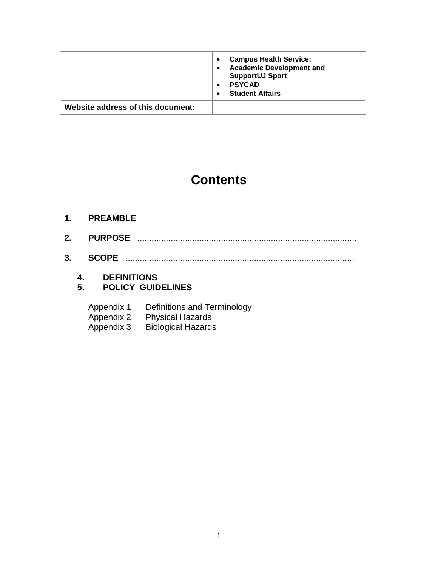|                                   | <b>Campus Health Service;</b><br><b>Academic Development and</b><br><b>SupportUJ Sport</b><br><b>PSYCAD</b><br><b>Student Affairs</b> |
|-----------------------------------|---------------------------------------------------------------------------------------------------------------------------------------|
| Website address of this document: |                                                                                                                                       |

# **Contents**

- **1. PREAMBLE**
- **2. PURPOSE** ............................................................................................
- **3. SCOPE** ................................................................................................
	- **4. DEFINITIONS**
	- **5. POLICY GUIDELINES**

| Definitions and Terminology |
|-----------------------------|
| <b>Physical Hazards</b>     |
| <b>Biological Hazards</b>   |
|                             |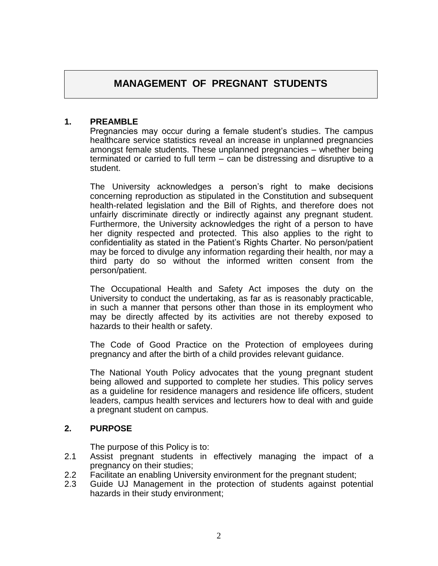## **MANAGEMENT OF PREGNANT STUDENTS**

#### **1. PREAMBLE**

Pregnancies may occur during a female student's studies. The campus healthcare service statistics reveal an increase in unplanned pregnancies amongst female students. These unplanned pregnancies – whether being terminated or carried to full term – can be distressing and disruptive to a student.

The University acknowledges a person's right to make decisions concerning reproduction as stipulated in the Constitution and subsequent health-related legislation and the Bill of Rights, and therefore does not unfairly discriminate directly or indirectly against any pregnant student. Furthermore, the University acknowledges the right of a person to have her dignity respected and protected. This also applies to the right to confidentiality as stated in the Patient's Rights Charter. No person/patient may be forced to divulge any information regarding their health, nor may a third party do so without the informed written consent from the person/patient.

The Occupational Health and Safety Act imposes the duty on the University to conduct the undertaking, as far as is reasonably practicable, in such a manner that persons other than those in its employment who may be directly affected by its activities are not thereby exposed to hazards to their health or safety.

The Code of Good Practice on the Protection of employees during pregnancy and after the birth of a child provides relevant guidance.

The National Youth Policy advocates that the young pregnant student being allowed and supported to complete her studies. This policy serves as a guideline for residence managers and residence life officers, student leaders, campus health services and lecturers how to deal with and guide a pregnant student on campus.

#### **2. PURPOSE**

The purpose of this Policy is to:

- 2.1 Assist pregnant students in effectively managing the impact of a pregnancy on their studies;
- 2.2 Facilitate an enabling University environment for the pregnant student;
- 2.3 Guide UJ Management in the protection of students against potential hazards in their study environment;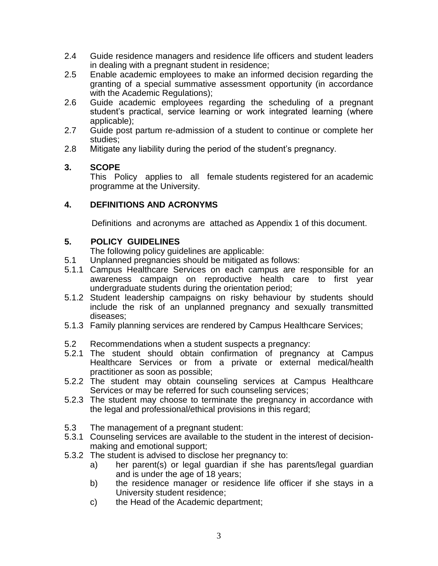- 2.4 Guide residence managers and residence life officers and student leaders in dealing with a pregnant student in residence;
- 2.5 Enable academic employees to make an informed decision regarding the granting of a special summative assessment opportunity (in accordance with the Academic Regulations);
- 2.6 Guide academic employees regarding the scheduling of a pregnant student's practical, service learning or work integrated learning (where applicable);
- 2.7 Guide post partum re-admission of a student to continue or complete her studies;
- 2.8 Mitigate any liability during the period of the student's pregnancy.

## **3. SCOPE**

This Policy applies to all female students registered for an academic programme at the University.

## **4. DEFINITIONS AND ACRONYMS**

Definitions and acronyms are attached as Appendix 1 of this document.

## **5. POLICY GUIDELINES**

The following policy guidelines are applicable:

- 5.1 Unplanned pregnancies should be mitigated as follows:
- 5.1.1 Campus Healthcare Services on each campus are responsible for an awareness campaign on reproductive health care to first year undergraduate students during the orientation period;
- 5.1.2 Student leadership campaigns on risky behaviour by students should include the risk of an unplanned pregnancy and sexually transmitted diseases;
- 5.1.3 Family planning services are rendered by Campus Healthcare Services;
- 5.2 Recommendations when a student suspects a pregnancy:
- 5.2.1 The student should obtain confirmation of pregnancy at Campus Healthcare Services or from a private or external medical/health practitioner as soon as possible;
- 5.2.2 The student may obtain counseling services at Campus Healthcare Services or may be referred for such counseling services;
- 5.2.3 The student may choose to terminate the pregnancy in accordance with the legal and professional/ethical provisions in this regard;
- 5.3 The management of a pregnant student:
- 5.3.1 Counseling services are available to the student in the interest of decisionmaking and emotional support;
- 5.3.2 The student is advised to disclose her pregnancy to:
	- a) her parent(s) or legal guardian if she has parents/legal guardian and is under the age of 18 years;
	- b) the residence manager or residence life officer if she stays in a University student residence;
	- c) the Head of the Academic department;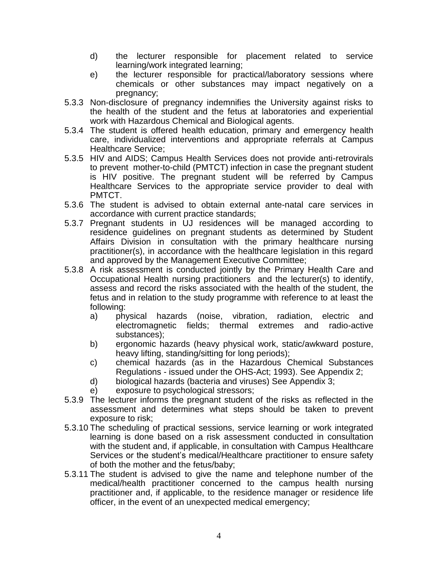- d) the lecturer responsible for placement related to service learning/work integrated learning;
- e) the lecturer responsible for practical/laboratory sessions where chemicals or other substances may impact negatively on a pregnancy;
- 5.3.3 Non-disclosure of pregnancy indemnifies the University against risks to the health of the student and the fetus at laboratories and experiential work with Hazardous Chemical and Biological agents.
- 5.3.4 The student is offered health education, primary and emergency health care, individualized interventions and appropriate referrals at Campus Healthcare Service;
- 5.3.5 HIV and AIDS; Campus Health Services does not provide anti-retrovirals to prevent mother-to-child (PMTCT) infection in case the pregnant student is HIV positive. The pregnant student will be referred by Campus Healthcare Services to the appropriate service provider to deal with PMTCT.
- 5.3.6 The student is advised to obtain external ante-natal care services in accordance with current practice standards;
- 5.3.7 Pregnant students in UJ residences will be managed according to residence guidelines on pregnant students as determined by Student Affairs Division in consultation with the primary healthcare nursing practitioner(s), in accordance with the healthcare legislation in this regard and approved by the Management Executive Committee;
- 5.3.8 A risk assessment is conducted jointly by the Primary Health Care and Occupational Health nursing practitioners and the lecturer(s) to identify, assess and record the risks associated with the health of the student, the fetus and in relation to the study programme with reference to at least the following:
	- a) physical hazards (noise, vibration, radiation, electric and electromagnetic fields; thermal extremes and radio-active substances);
	- b) ergonomic hazards (heavy physical work, static/awkward posture, heavy lifting, standing/sitting for long periods);
	- c) chemical hazards (as in the Hazardous Chemical Substances Regulations - issued under the OHS-Act; 1993). See Appendix 2;
	- d) biological hazards (bacteria and viruses) See Appendix 3;
	- e) exposure to psychological stressors;
- 5.3.9 The lecturer informs the pregnant student of the risks as reflected in the assessment and determines what steps should be taken to prevent exposure to risk;
- 5.3.10 The scheduling of practical sessions, service learning or work integrated learning is done based on a risk assessment conducted in consultation with the student and, if applicable, in consultation with Campus Healthcare Services or the student's medical/Healthcare practitioner to ensure safety of both the mother and the fetus/baby;
- 5.3.11 The student is advised to give the name and telephone number of the medical/health practitioner concerned to the campus health nursing practitioner and, if applicable, to the residence manager or residence life officer, in the event of an unexpected medical emergency;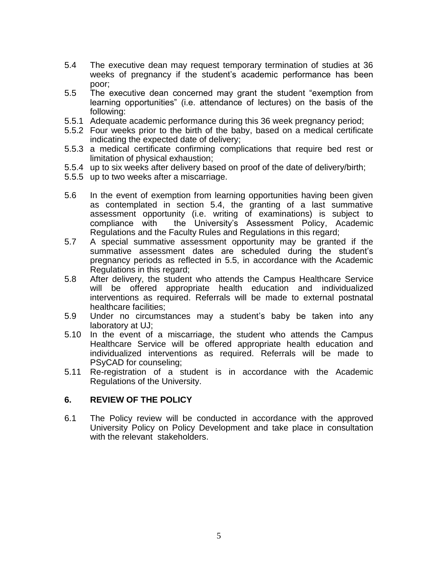- 5.4 The executive dean may request temporary termination of studies at 36 weeks of pregnancy if the student's academic performance has been poor;
- 5.5 The executive dean concerned may grant the student "exemption from learning opportunities" (i.e. attendance of lectures) on the basis of the following:
- 5.5.1 Adequate academic performance during this 36 week pregnancy period;
- 5.5.2 Four weeks prior to the birth of the baby, based on a medical certificate indicating the expected date of delivery;
- 5.5.3 a medical certificate confirming complications that require bed rest or limitation of physical exhaustion;
- 5.5.4 up to six weeks after delivery based on proof of the date of delivery/birth;
- 5.5.5 up to two weeks after a miscarriage.
- 5.6 In the event of exemption from learning opportunities having been given as contemplated in section 5.4, the granting of a last summative assessment opportunity (i.e. writing of examinations) is subject to compliance with the University's Assessment Policy, Academic Regulations and the Faculty Rules and Regulations in this regard;
- 5.7 A special summative assessment opportunity may be granted if the summative assessment dates are scheduled during the student's pregnancy periods as reflected in 5.5, in accordance with the Academic Regulations in this regard;
- 5.8 After delivery, the student who attends the Campus Healthcare Service will be offered appropriate health education and individualized interventions as required. Referrals will be made to external postnatal healthcare facilities;
- 5.9 Under no circumstances may a student's baby be taken into any laboratory at UJ;
- 5.10 In the event of a miscarriage, the student who attends the Campus Healthcare Service will be offered appropriate health education and individualized interventions as required. Referrals will be made to PSyCAD for counseling;
- 5.11 Re-registration of a student is in accordance with the Academic Regulations of the University.

#### **6. REVIEW OF THE POLICY**

6.1 The Policy review will be conducted in accordance with the approved University Policy on Policy Development and take place in consultation with the relevant stakeholders.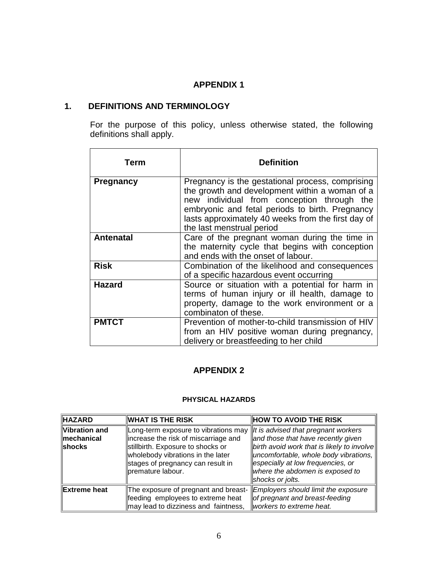#### **APPENDIX 1**

## **1. DEFINITIONS AND TERMINOLOGY**

For the purpose of this policy, unless otherwise stated, the following definitions shall apply.

| Term             | <b>Definition</b>                                                                                                                                                                                                                                                                      |
|------------------|----------------------------------------------------------------------------------------------------------------------------------------------------------------------------------------------------------------------------------------------------------------------------------------|
| <b>Pregnancy</b> | Pregnancy is the gestational process, comprising<br>the growth and development within a woman of a<br>new individual from conception through the<br>embryonic and fetal periods to birth. Pregnancy<br>lasts approximately 40 weeks from the first day of<br>the last menstrual period |
| <b>Antenatal</b> | Care of the pregnant woman during the time in<br>the maternity cycle that begins with conception<br>and ends with the onset of labour.                                                                                                                                                 |
| <b>Risk</b>      | Combination of the likelihood and consequences<br>of a specific hazardous event occurring                                                                                                                                                                                              |
| <b>Hazard</b>    | Source or situation with a potential for harm in<br>terms of human injury or ill health, damage to<br>property, damage to the work environment or a<br>combinaton of these.                                                                                                            |
| <b>PMTCT</b>     | Prevention of mother-to-child transmission of HIV<br>from an HIV positive woman during pregnancy,<br>delivery or breastfeeding to her child                                                                                                                                            |

#### **APPENDIX 2**

#### **PHYSICAL HAZARDS**

| <b>HAZARD</b>                           | <b>WHAT IS THE RISK</b>                                                                                                                                                                                          | <b>HOW TO AVOID THE RISK</b>                                                                                                                                                                                                                                                                |
|-----------------------------------------|------------------------------------------------------------------------------------------------------------------------------------------------------------------------------------------------------------------|---------------------------------------------------------------------------------------------------------------------------------------------------------------------------------------------------------------------------------------------------------------------------------------------|
| Vibration and<br>∥mechanical<br>∥shocks | Long-term exposure to vibrations may<br>increase the risk of miscarriage and<br>stillbirth. Exposure to shocks or<br>wholebody vibrations in the later<br>stages of pregnancy can result in<br>premature labour. | $\ $ It is advised that pregnant workers<br>and those that have recently given<br>$\left\vert$ birth avoid work that is likely to involve $\left\Vert$<br>uncomfortable, whole body vibrations,<br>especially at low frequencies, or<br>where the abdomen is exposed to<br>shocks or jolts. |
| <b>Extreme heat</b>                     | The exposure of pregnant and breast-<br>feeding employees to extreme heat<br>may lead to dizziness and faintness,                                                                                                | Employers should limit the exposure<br>of pregnant and breast-feeding<br>workers to extreme heat.                                                                                                                                                                                           |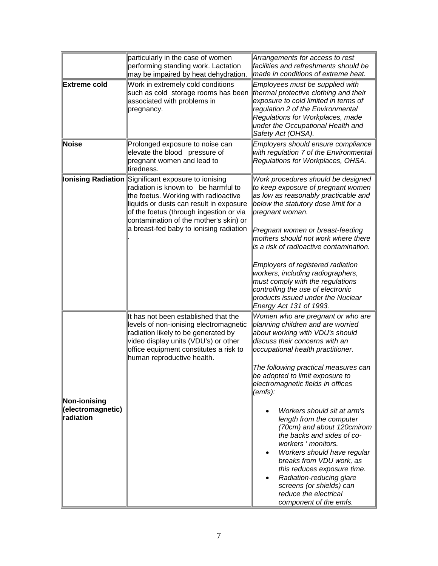|                                                       | particularly in the case of women<br>performing standing work. Lactation<br>may be impaired by heat dehydration.                                                                                                                                                                                              | Arrangements for access to rest<br>facilities and refreshments should be<br>made in conditions of extreme heat.                                                                                                                                                                                                                                                                                                                                                                                                                                                                                                                                                                     |
|-------------------------------------------------------|---------------------------------------------------------------------------------------------------------------------------------------------------------------------------------------------------------------------------------------------------------------------------------------------------------------|-------------------------------------------------------------------------------------------------------------------------------------------------------------------------------------------------------------------------------------------------------------------------------------------------------------------------------------------------------------------------------------------------------------------------------------------------------------------------------------------------------------------------------------------------------------------------------------------------------------------------------------------------------------------------------------|
| <b>Extreme cold</b>                                   | Work in extremely cold conditions<br>such as cold storage rooms has been<br>associated with problems in<br>pregnancy.                                                                                                                                                                                         | Employees must be supplied with<br>thermal protective clothing and their<br>exposure to cold limited in terms of<br>regulation 2 of the Environmental<br>Regulations for Workplaces, made<br>under the Occupational Health and<br>Safety Act (OHSA).                                                                                                                                                                                                                                                                                                                                                                                                                                |
| <b>Noise</b>                                          | Prolonged exposure to noise can<br>elevate the blood pressure of<br>pregnant women and lead to<br>tiredness.                                                                                                                                                                                                  | Employers should ensure compliance<br>with regulation 7 of the Environmental<br>Regulations for Workplaces, OHSA.                                                                                                                                                                                                                                                                                                                                                                                                                                                                                                                                                                   |
|                                                       | Ionising Radiation Significant exposure to ionising<br>radiation is known to be harmful to<br>the foetus. Working with radioactive<br>liquids or dusts can result in exposure<br>of the foetus (through ingestion or via<br>contamination of the mother's skin) or<br>a breast-fed baby to ionising radiation | Work procedures should be designed<br>to keep exposure of pregnant women<br>as low as reasonably practicable and<br>below the statutory dose limit for a<br>pregnant woman.<br>Pregnant women or breast-feeding<br>mothers should not work where there<br>is a risk of radioactive contamination.<br>Employers of registered radiation<br>workers, including radiographers,<br>must comply with the regulations<br>controlling the use of electronic<br>products issued under the Nuclear<br>Energy Act 131 of 1993.                                                                                                                                                                |
| <b>Non-ionising</b><br>(electromagnetic)<br>radiation | It has not been established that the<br>levels of non-ionising electromagnetic<br>radiation likely to be generated by<br>video display units (VDU's) or other<br>office equipment constitutes a risk to<br>human reproductive health.                                                                         | Women who are pregnant or who are<br>planning children and are worried<br>about working with VDU's should<br>discuss their concerns with an<br>occupational health practitioner.<br>The following practical measures can<br>be adopted to limit exposure to<br>electromagnetic fields in offices<br>$\vert$ (emfs):<br>Workers should sit at arm's<br>length from the computer<br>(70cm) and about 120cmirom<br>the backs and sides of co-<br>workers ' monitors.<br>Workers should have regular<br>breaks from VDU work, as<br>this reduces exposure time.<br>Radiation-reducing glare<br>$\bullet$<br>screens (or shields) can<br>reduce the electrical<br>component of the emfs. |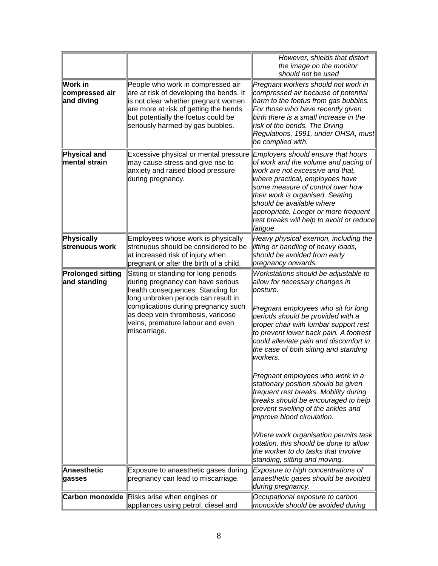|                                          |                                                                                                                                                                                                                                                                                       | However, shields that distort                                                                                                                                                                                                                                                                                                                                                                                                                                                                                                                                                                                                                                                                                                             |
|------------------------------------------|---------------------------------------------------------------------------------------------------------------------------------------------------------------------------------------------------------------------------------------------------------------------------------------|-------------------------------------------------------------------------------------------------------------------------------------------------------------------------------------------------------------------------------------------------------------------------------------------------------------------------------------------------------------------------------------------------------------------------------------------------------------------------------------------------------------------------------------------------------------------------------------------------------------------------------------------------------------------------------------------------------------------------------------------|
|                                          |                                                                                                                                                                                                                                                                                       | the image on the monitor                                                                                                                                                                                                                                                                                                                                                                                                                                                                                                                                                                                                                                                                                                                  |
|                                          |                                                                                                                                                                                                                                                                                       | should not be used                                                                                                                                                                                                                                                                                                                                                                                                                                                                                                                                                                                                                                                                                                                        |
| Work in<br>compressed air<br>and diving  | People who work in compressed air<br>are at risk of developing the bends. It<br>is not clear whether pregnant women<br>are more at risk of getting the bends<br>but potentially the foetus could be<br>seriously harmed by gas bubbles.                                               | Pregnant workers should not work in<br>compressed air because of potential<br>harm to the foetus from gas bubbles.<br>For those who have recently given<br>birth there is a small increase in the<br>risk of the bends. The Diving<br>Regulations, 1991, under OHSA, must<br>be complied with.                                                                                                                                                                                                                                                                                                                                                                                                                                            |
| Physical and<br>mental strain            | Excessive physical or mental pressure<br>may cause stress and give rise to<br>anxiety and raised blood pressure<br>during pregnancy.                                                                                                                                                  | Employers should ensure that hours<br>of work and the volume and pacing of<br>work are not excessive and that,<br>where practical, employees have<br>some measure of control over how<br>their work is organised. Seating<br>should be available where<br>appropriate. Longer or more frequent<br>rest breaks will help to avoid or reduce<br>fatigue.                                                                                                                                                                                                                                                                                                                                                                                    |
| Physically<br>strenuous work             | Employees whose work is physically<br>strenuous should be considered to be<br>at increased risk of injury when<br>pregnant or after the birth of a child.                                                                                                                             | Heavy physical exertion, including the<br>lifting or handling of heavy loads,<br>should be avoided from early<br>pregnancy onwards.                                                                                                                                                                                                                                                                                                                                                                                                                                                                                                                                                                                                       |
| <b>Prolonged sitting</b><br>and standing | Sitting or standing for long periods<br>during pregnancy can have serious<br>health consequences. Standing for<br>long unbroken periods can result in<br>complications during pregnancy such<br>as deep vein thrombosis, varicose<br>veins, premature labour and even<br>miscarriage. | Workstations should be adjustable to<br>allow for necessary changes in<br>posture.<br>Pregnant employees who sit for long<br>periods should be provided with a<br>proper chair with lumbar support rest<br>to prevent lower back pain. A footrest<br>could alleviate pain and discomfort in<br>the case of both sitting and standing<br>workers.<br>Pregnant employees who work in a<br>stationary position should be given<br>frequent rest breaks. Mobility during<br>breaks should be encouraged to help<br>prevent swelling of the ankles and<br>improve blood circulation.<br>Where work organisation permits task<br>rotation, this should be done to allow<br>the worker to do tasks that involve<br>standing, sitting and moving. |
| Anaesthetic<br>gasses                    | Exposure to anaesthetic gases during<br>pregnancy can lead to miscarriage.                                                                                                                                                                                                            | Exposure to high concentrations of<br>anaesthetic gases should be avoided                                                                                                                                                                                                                                                                                                                                                                                                                                                                                                                                                                                                                                                                 |
|                                          |                                                                                                                                                                                                                                                                                       | during pregnancy.                                                                                                                                                                                                                                                                                                                                                                                                                                                                                                                                                                                                                                                                                                                         |
|                                          | <b>Carbon monoxide</b> Risks arise when engines or<br>appliances using petrol, diesel and                                                                                                                                                                                             | Occupational exposure to carbon<br>monoxide should be avoided during                                                                                                                                                                                                                                                                                                                                                                                                                                                                                                                                                                                                                                                                      |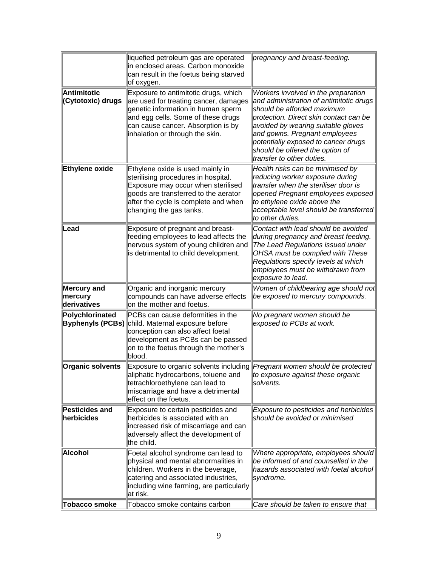|                                              | liquefied petroleum gas are operated<br>in enclosed areas. Carbon monoxide<br>can result in the foetus being starved<br>of oxygen.                                                                                                 | pregnancy and breast-feeding.                                                                                                                                                                                                                                                                                                        |
|----------------------------------------------|------------------------------------------------------------------------------------------------------------------------------------------------------------------------------------------------------------------------------------|--------------------------------------------------------------------------------------------------------------------------------------------------------------------------------------------------------------------------------------------------------------------------------------------------------------------------------------|
| <b>Antimitotic</b><br>(Cytotoxic) drugs      | Exposure to antimitotic drugs, which<br>are used for treating cancer, damages<br>genetic information in human sperm<br>and egg cells. Some of these drugs<br>can cause cancer. Absorption is by<br>inhalation or through the skin. | Workers involved in the preparation<br>and administration of antimitotic drugs<br>should be afforded maximum<br>protection. Direct skin contact can be<br>avoided by wearing suitable gloves<br>and gowns. Pregnant employees<br>potentially exposed to cancer drugs<br>should be offered the option of<br>transfer to other duties. |
| Ethylene oxide                               | Ethylene oxide is used mainly in<br>sterilising procedures in hospital.<br>Exposure may occur when sterilised<br>goods are transferred to the aerator<br>after the cycle is complete and when<br>changing the gas tanks.           | Health risks can be minimised by<br>reducing worker exposure during<br>transfer when the steriliser door is<br>opened Pregnant employees exposed<br>to ethylene oxide above the<br>acceptable level should be transferred<br>to other duties.                                                                                        |
| Lead                                         | Exposure of pregnant and breast-<br>feeding employees to lead affects the<br>nervous system of young children and<br>is detrimental to child development.                                                                          | Contact with lead should be avoided<br>during pregnancy and breast feeding.<br>The Lead Regulations issued under<br>OHSA must be complied with These<br>Regulations specify levels at which<br>employees must be withdrawn from<br>exposure to lead.                                                                                 |
| <b>Mercury and</b><br>mercury<br>derivatives | Organic and inorganic mercury<br>compounds can have adverse effects<br>on the mother and foetus.                                                                                                                                   | Women of childbearing age should not<br>be exposed to mercury compounds.                                                                                                                                                                                                                                                             |
| Polychlorinated<br><b>Byphenyls (PCBs)</b>   | PCBs can cause deformities in the<br>child. Maternal exposure before<br>conception can also affect foetal<br>development as PCBs can be passed<br>on to the foetus through the mother's<br>blood.                                  | No pregnant women should be<br>exposed to PCBs at work.                                                                                                                                                                                                                                                                              |
| <b>Organic solvents</b>                      | Exposure to organic solvents including Pregnant women should be protected<br>aliphatic hydrocarbons, toluene and<br>tetrachloroethylene can lead to<br>miscarriage and have a detrimental<br>effect on the foetus.                 | to exposure against these organic<br>solvents.                                                                                                                                                                                                                                                                                       |
| <b>Pesticides and</b><br>herbicides          | Exposure to certain pesticides and<br>herbicides is associated with an<br>increased risk of miscarriage and can<br>adversely affect the development of<br>the child.                                                               | Exposure to pesticides and herbicides<br>should be avoided or minimised                                                                                                                                                                                                                                                              |
| Alcohol                                      | Foetal alcohol syndrome can lead to<br>physical and mental abnormalities in<br>children. Workers in the beverage,<br>catering and associated industries,<br>including wine farming, are particularly<br>∣at risk.                  | Where appropriate, employees should<br>be informed of and counselled in the<br>hazards associated with foetal alcohol<br>syndrome.                                                                                                                                                                                                   |
| Tobacco smoke                                | Tobacco smoke contains carbon                                                                                                                                                                                                      | Care should be taken to ensure that                                                                                                                                                                                                                                                                                                  |